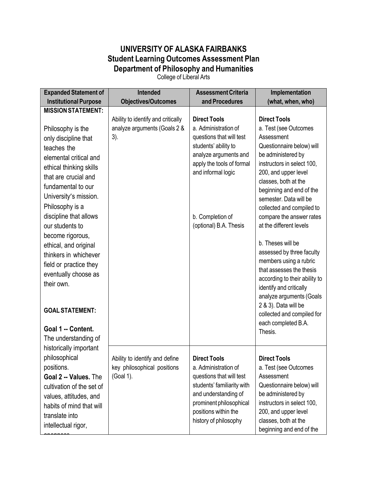## **UNIVERSITY OF ALASKA FAIRBANKS Student Learning Outcomes Assessment Plan Department of Philosophy and Humanities**

College of Liberal Arts

| <b>Expanded Statement of</b>                   | Intended                                                      | <b>Assessment Criteria</b>                         | Implementation                                     |
|------------------------------------------------|---------------------------------------------------------------|----------------------------------------------------|----------------------------------------------------|
| <b>Institutional Purpose</b>                   | <b>Objectives/Outcomes</b>                                    | and Procedures                                     | (what, when, who)                                  |
| <b>MISSION STATEMENT:</b>                      |                                                               |                                                    |                                                    |
|                                                | Ability to identify and critically                            | <b>Direct Tools</b>                                | <b>Direct Tools</b>                                |
| Philosophy is the                              | analyze arguments (Goals 2 &                                  | a. Administration of                               | a. Test (see Outcomes                              |
| only discipline that                           | $3$ ).                                                        | questions that will test                           | Assessment                                         |
| teaches the                                    |                                                               | students' ability to                               | Questionnaire below) will                          |
| elemental critical and                         |                                                               | analyze arguments and<br>apply the tools of formal | be administered by<br>instructors in select 100,   |
| ethical thinking skills                        |                                                               | and informal logic                                 | 200, and upper level                               |
| that are crucial and                           |                                                               |                                                    | classes, both at the                               |
| fundamental to our                             |                                                               |                                                    | beginning and end of the                           |
| University's mission.                          |                                                               |                                                    | semester. Data will be                             |
| Philosophy is a                                |                                                               |                                                    | collected and compiled to                          |
| discipline that allows                         |                                                               | b. Completion of                                   | compare the answer rates                           |
| our students to                                |                                                               | (optional) B.A. Thesis                             | at the different levels                            |
| become rigorous,                               |                                                               |                                                    |                                                    |
| ethical, and original                          |                                                               |                                                    | b. Theses will be                                  |
| thinkers in whichever                          |                                                               |                                                    | assessed by three faculty                          |
| field or practice they                         |                                                               |                                                    | members using a rubric<br>that assesses the thesis |
| eventually choose as                           |                                                               |                                                    | according to their ability to                      |
| their own.                                     |                                                               |                                                    | identify and critically                            |
|                                                |                                                               |                                                    | analyze arguments (Goals                           |
|                                                |                                                               |                                                    | 2 & 3). Data will be                               |
| <b>GOAL STATEMENT:</b>                         |                                                               |                                                    | collected and compiled for                         |
| Goal 1 -- Content.                             |                                                               |                                                    | each completed B.A.                                |
|                                                |                                                               |                                                    | Thesis.                                            |
| The understanding of<br>historically important |                                                               |                                                    |                                                    |
| philosophical                                  |                                                               |                                                    |                                                    |
|                                                | Ability to identify and define<br>key philosophical positions | <b>Direct Tools</b><br>a. Administration of        | <b>Direct Tools</b>                                |
| positions.<br>Goal 2 -- Values. The            | (Goal 1).                                                     | questions that will test                           | a. Test (see Outcomes<br>Assessment                |
| cultivation of the set of                      |                                                               | students' familiarity with                         | Questionnaire below) will                          |
| values, attitudes, and                         |                                                               | and understanding of                               | be administered by                                 |
| habits of mind that will                       |                                                               | prominent philosophical                            | instructors in select 100,                         |
| translate into                                 |                                                               | positions within the                               | 200, and upper level                               |
|                                                |                                                               | history of philosophy                              | classes, both at the                               |
| intellectual rigor,                            |                                                               |                                                    | beginning and end of the                           |